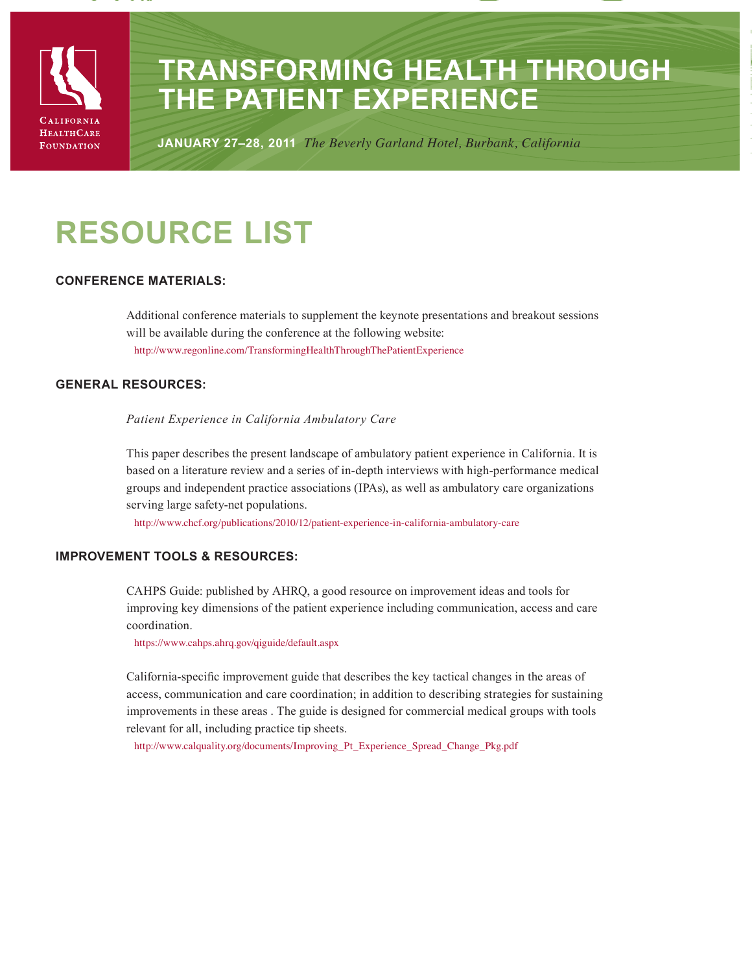

# **Transforming Health Through the Patient Experience**

**January 27–28, 2011** *The Beverly Garland Hotel, Burbank, California*

# **Resource list**

# **Conference Materials:**

Additional conference materials to supplement the keynote presentations and breakout sessions will be available during the conference at the following website: http://www.regonline.com/TransformingHealthThroughThePatientExperience

# **General Resources:**

*Patient Experience in California Ambulatory Care*

This paper describes the present landscape of ambulatory patient experience in California. It is based on a literature review and a series of in-depth interviews with high-performance medical groups and independent practice associations (IPAs), as well as ambulatory care organizations serving large safety-net populations.

http://www.chcf.org/publications/2010/12/patient-experience-in-california-ambulatory-care

# **Improvement Tools & Resources:**

CAHPS Guide: published by AHRQ, a good resource on improvement ideas and tools for improving key dimensions of the patient experience including communication, access and care coordination.

https://www.cahps.ahrq.gov/qiguide/default.aspx

California-specific improvement guide that describes the key tactical changes in the areas of access, communication and care coordination; in addition to describing strategies for sustaining improvements in these areas . The guide is designed for commercial medical groups with tools relevant for all, including practice tip sheets.

http://www.calquality.org/documents/Improving\_Pt\_Experience\_Spread\_Change\_Pkg.pdf